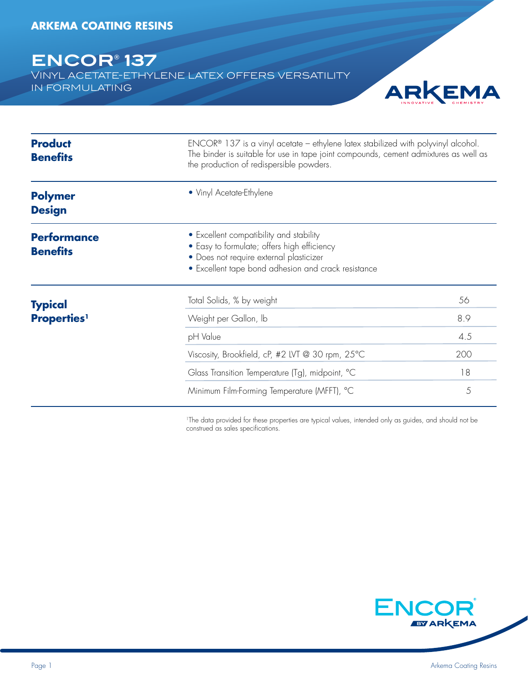# **ENCOR® 137**

Vinyl acetate-ethylene latex offers versatility in formulating



| <b>Product</b><br><b>Benefits</b>     | $ENCOR®$ 137 is a vinyl acetate – ethylene latex stabilized with polyvinyl alcohol.<br>The binder is suitable for use in tape joint compounds, cement admixtures as well as<br>the production of redispersible powders. |     |
|---------------------------------------|-------------------------------------------------------------------------------------------------------------------------------------------------------------------------------------------------------------------------|-----|
| <b>Polymer</b><br><b>Design</b>       | • Vinyl Acetate-Ethylene                                                                                                                                                                                                |     |
| <b>Performance</b><br><b>Benefits</b> | • Excellent compatibility and stability<br>• Easy to formulate; offers high efficiency<br>• Does not require external plasticizer<br>• Excellent tape bond adhesion and crack resistance                                |     |
| <b>Typical</b>                        | Total Solids, % by weight                                                                                                                                                                                               | 56  |
| <b>Properties</b> <sup>1</sup>        | Weight per Gallon, Ib                                                                                                                                                                                                   | 8.9 |
|                                       | pH Value                                                                                                                                                                                                                | 4.5 |
|                                       | Viscosity, Brookfield, cP, #2 LVT @ 30 rpm, 25°C                                                                                                                                                                        | 200 |
|                                       | Glass Transition Temperature (Tg), midpoint, °C                                                                                                                                                                         | 18  |
|                                       | Minimum Film-Forming Temperature (MFFT), °C                                                                                                                                                                             | 5   |

<sup>1</sup>The data provided for these properties are typical values, intended only as guides, and should not be construed as sales specifications.

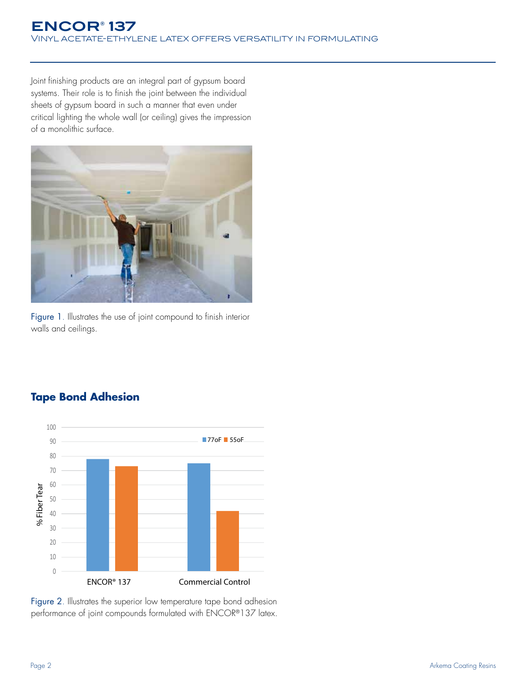Joint finishing products are an integral part of gypsum board systems. Their role is to finish the joint between the individual sheets of gypsum board in such a manner that even under critical lighting the whole wall (or ceiling) gives the impression of a monolithic surface.



Figure 1. Illustrates the use of joint compound to finish interior walls and ceilings.

# **Tape Bond Adhesion**



Figure 2. Illustrates the superior low temperature tape bond adhesion performance of joint compounds formulated with ENCOR®137 latex.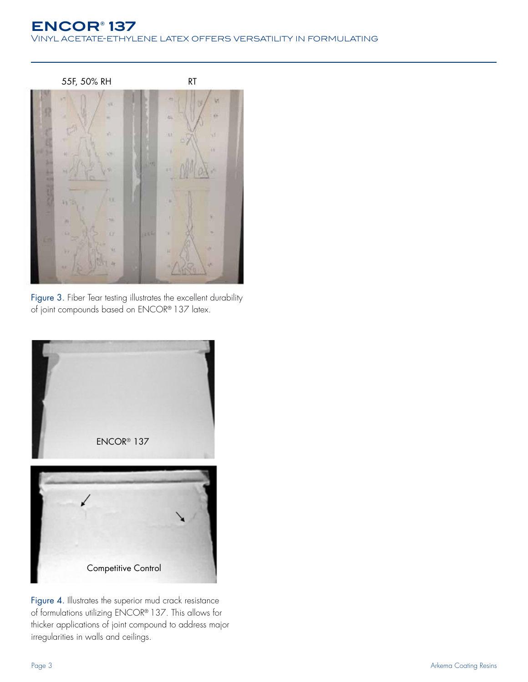# **ENCOR® 137** Vinyl acetate-ethylene latex offers versatility in formulating



Figure 3. Fiber Tear testing illustrates the excellent durability of joint compounds based on ENCOR® 137 latex.



Figure 4. Illustrates the superior mud crack resistance of formulations utilizing ENCOR® 137. This allows for thicker applications of joint compound to address major irregularities in walls and ceilings.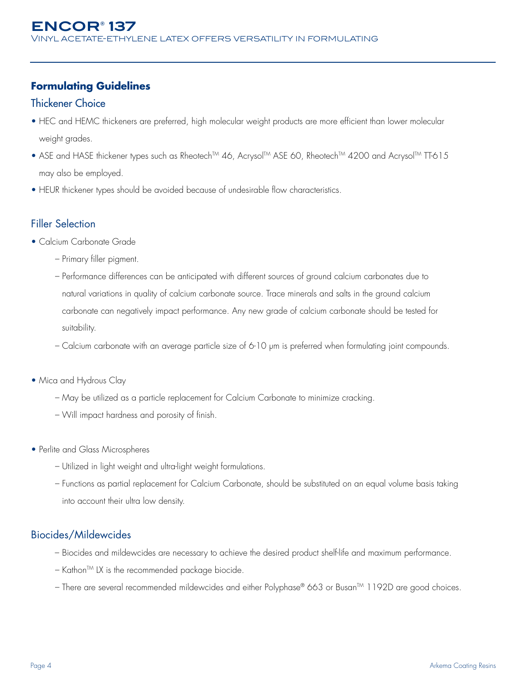## **Formulating Guidelines**

#### Thickener Choice

- HEC and HEMC thickeners are preferred, high molecular weight products are more efficient than lower molecular weight grades.
- ASE and HASE thickener types such as Rheotech<sup>TM</sup> 46, Acrysol<sup>TM</sup> ASE 60, Rheotech<sup>TM</sup> 4200 and Acrysol<sup>TM</sup> TT-615 may also be employed.
- HEUR thickener types should be avoided because of undesirable flow characteristics.

#### Filler Selection

- Calcium Carbonate Grade
	- Primary filler pigment.
	- Performance differences can be anticipated with different sources of ground calcium carbonates due to natural variations in quality of calcium carbonate source. Trace minerals and salts in the ground calcium carbonate can negatively impact performance. Any new grade of calcium carbonate should be tested for suitability.
	- Calcium carbonate with an average particle size of 6-10 μm is preferred when formulating joint compounds.
- Mica and Hydrous Clay
	- May be utilized as a particle replacement for Calcium Carbonate to minimize cracking.
	- Will impact hardness and porosity of finish.
- Perlite and Glass Microspheres
	- Utilized in light weight and ultra-light weight formulations.
	- Functions as partial replacement for Calcium Carbonate, should be substituted on an equal volume basis taking into account their ultra low density.

#### Biocides/Mildewcides

- Biocides and mildewcides are necessary to achieve the desired product shelf-life and maximum performance.
- $-$  Kathon<sup>TM</sup> LX is the recommended package biocide.
- There are several recommended mildewcides and either Polyphase® 663 or Busan™ 1192D are good choices.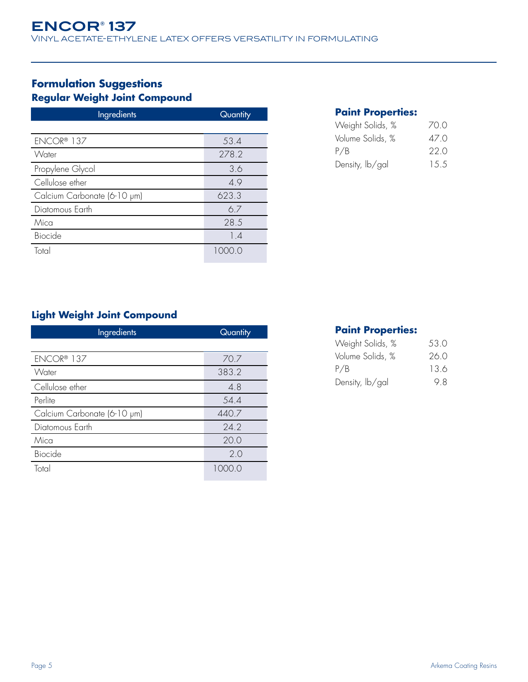# **Formulation Suggestions Regular Weight Joint Compound**

| <b>Ingredients</b>          | Quantity |
|-----------------------------|----------|
|                             |          |
| ENCOR® 137                  | 53.4     |
| Water                       | 278.2    |
| Propylene Glycol            | 3.6      |
| Cellulose ether             | 4.9      |
| Calcium Carbonate (6-10 µm) | 623.3    |
| Diatomous Earth             | 6.7      |
| Mica                        | 28.5     |
| Biocide                     | 1.4      |
| Total                       | 1000 O   |

#### **Paint Properties:**

| Weight Solids, % | 70 O  |
|------------------|-------|
| Volume Solids, % | 47 O  |
| P/B              | 22 O  |
| Density, lb/gal  | 1.5.5 |

# **Light Weight Joint Compound**

| Ingredients                 | Quantity |
|-----------------------------|----------|
|                             |          |
| ENCOR® 137                  | 70.7     |
| Water                       | 383.2    |
| Cellulose ether             | 4.8      |
| Perlite                     | 54.4     |
| Calcium Carbonate (6-10 µm) | 440.7    |
| Diatomous Earth             | 24.2     |
| Mica                        | 20.0     |
| Biocide                     | 2.0      |
| Total                       | 1000.0   |

#### **Paint Properties:**

| Weight Solids, % | 53.0 |
|------------------|------|
| Volume Solids, % | 26.0 |
| P/B              | 13.6 |
| Density, lb/gal  | 98   |